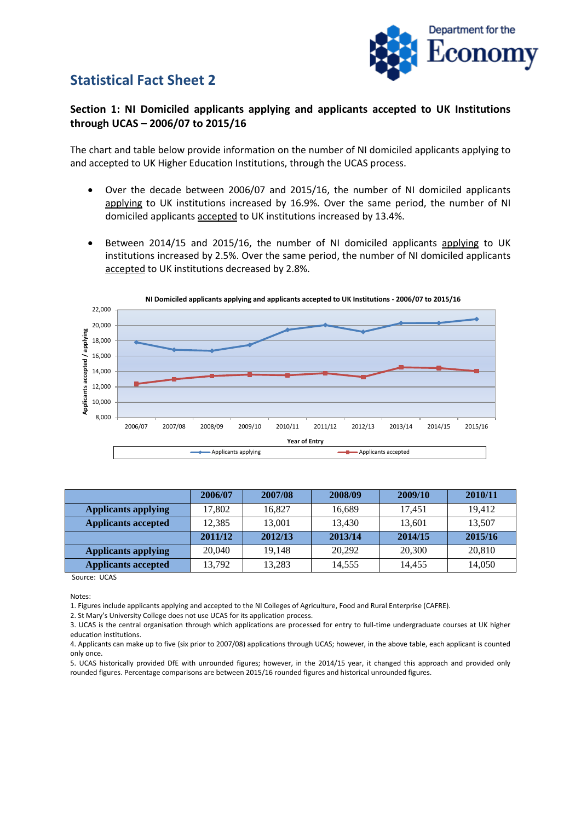## **Statistical Fact Sheet 2**



## **Section 1: NI Domiciled applicants applying and applicants accepted to UK Institutions through UCAS – 2006/07 to 2015/16**

The chart and table below provide information on the number of NI domiciled applicants applying to and accepted to UK Higher Education Institutions, through the UCAS process.

- Over the decade between 2006/07 and 2015/16, the number of NI domiciled applicants applying to UK institutions increased by 16.9%. Over the same period, the number of NI domiciled applicants accepted to UK institutions increased by 13.4%.
- Between 2014/15 and 2015/16, the number of NI domiciled applicants applying to UK institutions increased by 2.5%. Over the same period, the number of NI domiciled applicants accepted to UK institutions decreased by 2.8%.



|                            | 2006/07 | 2007/08 | 2008/09 | 2009/10 | 2010/11 |
|----------------------------|---------|---------|---------|---------|---------|
| <b>Applicants applying</b> | 17.802  | 16.827  | 16,689  | 17.451  | 19.412  |
| <b>Applicants accepted</b> | 12.385  | 13.001  | 13,430  | 13,601  | 13,507  |
|                            | 2011/12 | 2012/13 | 2013/14 | 2014/15 | 2015/16 |
| <b>Applicants applying</b> | 20,040  | 19.148  | 20,292  | 20,300  | 20,810  |
| Applicants accepted        | 13.792  | 13,283  | 14,555  | 14.455  | 14,050  |

Source: UCAS

Notes:

1. Figures include applicants applying and accepted to the NI Colleges of Agriculture, Food and Rural Enterprise (CAFRE).

2. St Mary's University College does not use UCAS for its application process.

3. UCAS is the central organisation through which applications are processed for entry to full-time undergraduate courses at UK higher education institutions.

5. UCAS historically provided DfE with unrounded figures; however, in the 2014/15 year, it changed this approach and provided only rounded figures. Percentage comparisons are between 2015/16 rounded figures and historical unrounded figures.

<sup>4.</sup> Applicants can make up to five (six prior to 2007/08) applications through UCAS; however, in the above table, each applicant is counted only once.